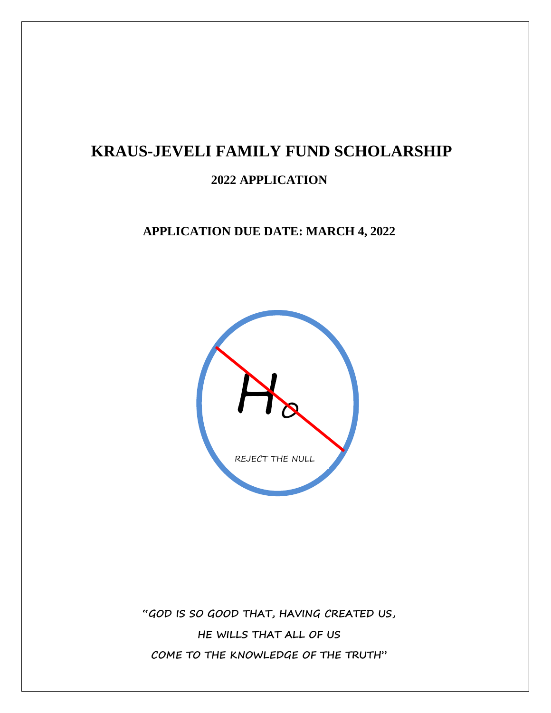# **KRAUS-JEVELI FAMILY FUND SCHOLARSHIP**

## **2022 APPLICATION**

### **APPLICATION DUE DATE: MARCH 4, 2022**



**"GOD IS SO GOOD THAT, HAVING CREATED US, HE WILLS THAT ALL OF US COME TO THE KNOWLEDGE OF THE TRUTH"**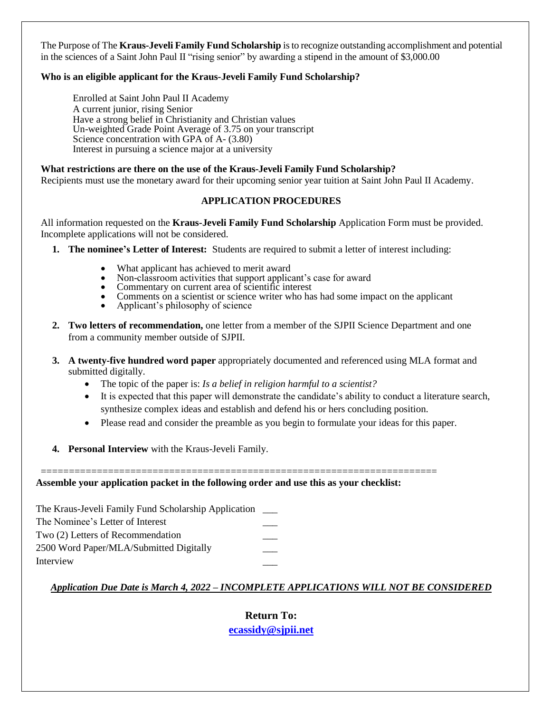The Purpose of The **Kraus-Jeveli Family Fund Scholarship** is to recognize outstanding accomplishment and potential in the sciences of a Saint John Paul II "rising senior" by awarding a stipend in the amount of \$3,000.00

#### **Who is an eligible applicant for the Kraus-Jeveli Family Fund Scholarship?**

Enrolled at Saint John Paul II Academy A current junior, rising Senior Have a strong belief in Christianity and Christian values Un-weighted Grade Point Average of 3.75 on your transcript Science concentration with GPA of A-  $(3.80)$ Interest in pursuing a science major at a university

#### **What restrictions are there on the use of the Kraus-Jeveli Family Fund Scholarship?**

Recipients must use the monetary award for their upcoming senior year tuition at Saint John Paul II Academy.

#### **APPLICATION PROCEDURES**

All information requested on the **Kraus-Jeveli Family Fund Scholarship** Application Form must be provided. Incomplete applications will not be considered.

- **1. The nominee's Letter of Interest:** Students are required to submit a letter of interest including:
	- What applicant has achieved to merit award
	- Non-classroom activities that support applicant's case for award<br>• Commentary on current area of scientific interest
	- Commentary on current area of scientific interest
	- Comments on a scientist or science writer who has had some impact on the applicant<br>Applicant's philosophy of science
	- Applicant's philosophy of science
- **2. Two letters of recommendation,** one letter from a member of the SJPII Science Department and one from a community member outside of SJPII.
- **3. A twenty-five hundred word paper** appropriately documented and referenced using MLA format and submitted digitally.
	- The topic of the paper is: *Is a belief in religion harmful to a scientist?*
	- It is expected that this paper will demonstrate the candidate's ability to conduct a literature search, synthesize complex ideas and establish and defend his or hers concluding position.
	- Please read and consider the preamble as you begin to formulate your ideas for this paper.
- **4. Personal Interview** with the Kraus-Jeveli Family.

======================================================================= **Assemble your application packet in the following order and use this as your checklist:**

The Kraus-Jeveli Family Fund Scholarship Application \_\_\_ The Nominee's Letter of Interest \_\_\_ Two (2) Letters of Recommendation \_\_\_ 2500 Word Paper/MLA/Submitted Digitally **Interview** 

#### *Application Due Date is March 4, 2022 – INCOMPLETE APPLICATIONS WILL NOT BE CONSIDERED*

**Return To: [ecassidy@sjpii.net](mailto:ecassidy@sjpii.net)**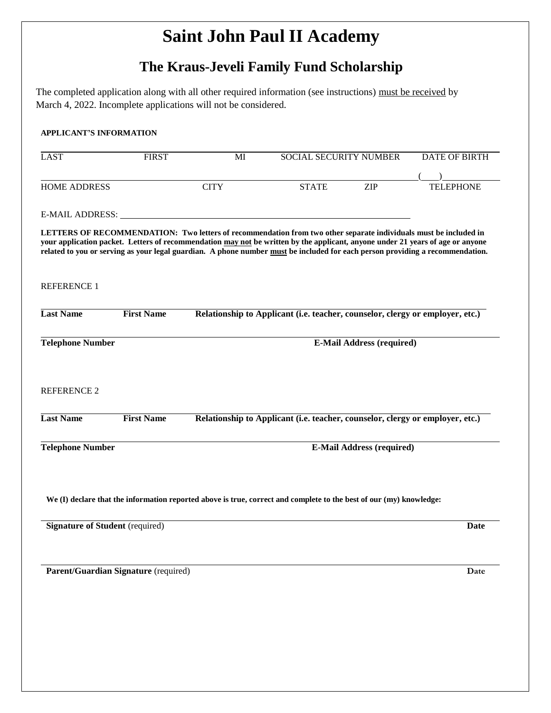## **Saint John Paul II Academy**

## **The Kraus-Jeveli Family Fund Scholarship**

The completed application along with all other required information (see instructions) must be received by March 4, 2022. Incomplete applications will not be considered.

| <b>LAST</b>                                 | <b>FIRST</b>                         | $\overline{\text{MI}}$           | <b>SOCIAL SECURITY NUMBER</b>                                                                                                                                                                                                                                                                                                                                                       |                                  | <b>DATE OF BIRTH</b> |
|---------------------------------------------|--------------------------------------|----------------------------------|-------------------------------------------------------------------------------------------------------------------------------------------------------------------------------------------------------------------------------------------------------------------------------------------------------------------------------------------------------------------------------------|----------------------------------|----------------------|
|                                             |                                      |                                  |                                                                                                                                                                                                                                                                                                                                                                                     |                                  |                      |
| <b>HOME ADDRESS</b>                         |                                      | <b>CITY</b>                      | <b>STATE</b>                                                                                                                                                                                                                                                                                                                                                                        | <b>ZIP</b>                       | <b>TELEPHONE</b>     |
|                                             |                                      |                                  |                                                                                                                                                                                                                                                                                                                                                                                     |                                  |                      |
| E-MAIL ADDRESS:                             |                                      |                                  |                                                                                                                                                                                                                                                                                                                                                                                     |                                  |                      |
|                                             |                                      |                                  | LETTERS OF RECOMMENDATION: Two letters of recommendation from two other separate individuals must be included in<br>your application packet. Letters of recommendation may not be written by the applicant, anyone under 21 years of age or anyone<br>related to you or serving as your legal guardian. A phone number must be included for each person providing a recommendation. |                                  |                      |
| <b>REFERENCE 1</b>                          |                                      |                                  |                                                                                                                                                                                                                                                                                                                                                                                     |                                  |                      |
| <b>Last Name</b>                            | <b>First Name</b>                    |                                  | Relationship to Applicant (i.e. teacher, counselor, clergy or employer, etc.)                                                                                                                                                                                                                                                                                                       |                                  |                      |
| <b>Telephone Number</b>                     |                                      | <b>E-Mail Address (required)</b> |                                                                                                                                                                                                                                                                                                                                                                                     |                                  |                      |
| <b>REFERENCE 2</b>                          |                                      |                                  |                                                                                                                                                                                                                                                                                                                                                                                     |                                  |                      |
|                                             |                                      |                                  |                                                                                                                                                                                                                                                                                                                                                                                     |                                  |                      |
|                                             | <b>First Name</b>                    |                                  | Relationship to Applicant (i.e. teacher, counselor, clergy or employer, etc.)                                                                                                                                                                                                                                                                                                       |                                  |                      |
|                                             |                                      |                                  |                                                                                                                                                                                                                                                                                                                                                                                     | <b>E-Mail Address (required)</b> |                      |
| <b>Last Name</b><br><b>Telephone Number</b> |                                      |                                  | We (I) declare that the information reported above is true, correct and complete to the best of our (my) knowledge:                                                                                                                                                                                                                                                                 |                                  |                      |
| <b>Signature of Student (required)</b>      |                                      |                                  |                                                                                                                                                                                                                                                                                                                                                                                     |                                  |                      |
|                                             | Parent/Guardian Signature (required) |                                  |                                                                                                                                                                                                                                                                                                                                                                                     |                                  | <b>Date</b><br>Date  |
|                                             |                                      |                                  |                                                                                                                                                                                                                                                                                                                                                                                     |                                  |                      |
|                                             |                                      |                                  |                                                                                                                                                                                                                                                                                                                                                                                     |                                  |                      |
|                                             |                                      |                                  |                                                                                                                                                                                                                                                                                                                                                                                     |                                  |                      |